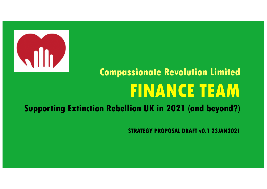

# **Compassionate Revolution Limited FINANCE TEAM**

#### **Supporting Extinction Rebellion UK in 2021 (and beyond?)**

**STRATEGY PROPOSAL DRAFT v0.1 23JAN2021**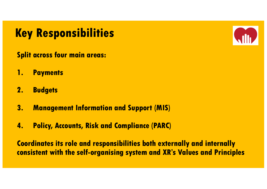### **Key Responsibilities**



**Split across four main areas:**

- **1. Payments**
- **2. Budgets**
- **3. Management Information and Support (MIS)**
- **4. Policy, Accounts, Risk and Compliance (PARC)**

**Coordinates its role and responsibilities both externally and internally consistent with the self-organising system and XR's Values and Principles**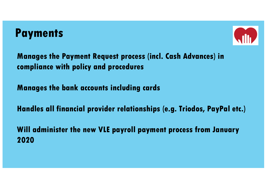#### **Payments**



**Manages the Payment Request process (incl. Cash Advances) in compliance with policy and procedures**

**Manages the bank accounts including cards** 

**Handles all financial provider relationships (e.g. Triodos, PayPal etc.)**

**Will administer the new VLE payroll payment process from January 2020**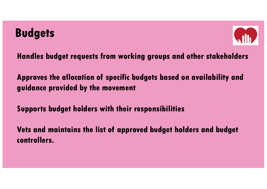## **Budgets**



**Handles budget requests from working groups and other stakeholders**

**Approves the allocation of specific budgets based on availability and guidance provided by the movement**

**Supports budget holders with their responsibilities**

**Vets and maintains the list of approved budget holders and budget controllers.**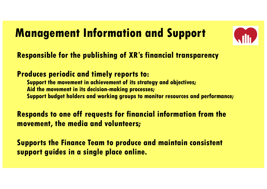# **Management Information and Support**



#### **Responsible for the publishing of XR's financial transparency**

#### **Produces periodic and timely reports to:**

**Support the movement in achievement of its strategy and objectives; Aid the movement in its decision-making processes; Support budget holders and working groups to monitor resources and performance;**

**Responds to one off requests for financial information from the movement, the media and volunteers;**

**Supports the Finance Team to produce and maintain consistent support guides in a single place online.**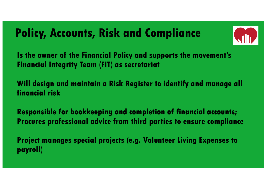### **Policy, Accounts, Risk and Compliance**



**Is the owner of the Financial Policy and supports the movement's Financial Integrity Team (FIT) as secretariat**

**Will design and maintain a Risk Register to identify and manage all financial risk**

**Responsible for bookkeeping and completion of financial accounts; Procures professional advice from third parties to ensure compliance** 

**Project manages special projects (e.g. Volunteer Living Expenses to payroll)**